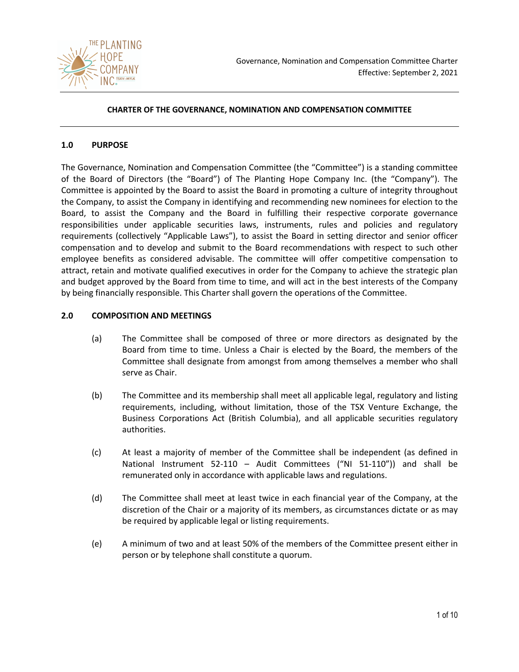

## **CHARTER OF THE GOVERNANCE, NOMINATION AND COMPENSATION COMMITTEE**

## **1.0 PURPOSE**

The Governance, Nomination and Compensation Committee (the "Committee") is a standing committee of the Board of Directors (the "Board") of The Planting Hope Company Inc. (the "Company"). The Committee is appointed by the Board to assist the Board in promoting a culture of integrity throughout the Company, to assist the Company in identifying and recommending new nominees for election to the Board, to assist the Company and the Board in fulfilling their respective corporate governance responsibilities under applicable securities laws, instruments, rules and policies and regulatory requirements (collectively "Applicable Laws"), to assist the Board in setting director and senior officer compensation and to develop and submit to the Board recommendations with respect to such other employee benefits as considered advisable. The committee will offer competitive compensation to attract, retain and motivate qualified executives in order for the Company to achieve the strategic plan and budget approved by the Board from time to time, and will act in the best interests of the Company by being financially responsible. This Charter shall govern the operations of the Committee.

### **2.0 COMPOSITION AND MEETINGS**

- (a) The Committee shall be composed of three or more directors as designated by the Board from time to time. Unless a Chair is elected by the Board, the members of the Committee shall designate from amongst from among themselves a member who shall serve as Chair.
- (b) The Committee and its membership shall meet all applicable legal, regulatory and listing requirements, including, without limitation, those of the TSX Venture Exchange, the Business Corporations Act (British Columbia), and all applicable securities regulatory authorities.
- (c) At least a majority of member of the Committee shall be independent (as defined in National Instrument 52-110 – Audit Committees ("NI 51-110")) and shall be remunerated only in accordance with applicable laws and regulations.
- (d) The Committee shall meet at least twice in each financial year of the Company, at the discretion of the Chair or a majority of its members, as circumstances dictate or as may be required by applicable legal or listing requirements.
- (e) A minimum of two and at least 50% of the members of the Committee present either in person or by telephone shall constitute a quorum.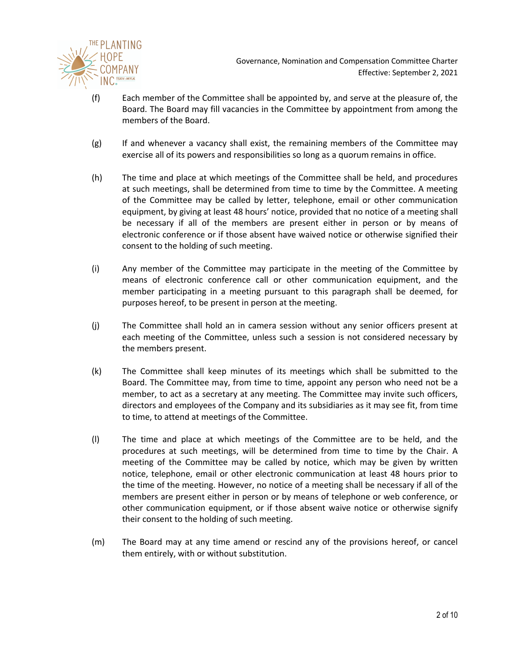

Governance, Nomination and Compensation Committee Charter Effective: September 2, 2021

- (f) Each member of the Committee shall be appointed by, and serve at the pleasure of, the Board. The Board may fill vacancies in the Committee by appointment from among the members of the Board.
- (g) If and whenever a vacancy shall exist, the remaining members of the Committee may exercise all of its powers and responsibilities so long as a quorum remains in office.
- (h) The time and place at which meetings of the Committee shall be held, and procedures at such meetings, shall be determined from time to time by the Committee. A meeting of the Committee may be called by letter, telephone, email or other communication equipment, by giving at least 48 hours' notice, provided that no notice of a meeting shall be necessary if all of the members are present either in person or by means of electronic conference or if those absent have waived notice or otherwise signified their consent to the holding of such meeting.
- (i) Any member of the Committee may participate in the meeting of the Committee by means of electronic conference call or other communication equipment, and the member participating in a meeting pursuant to this paragraph shall be deemed, for purposes hereof, to be present in person at the meeting.
- (j) The Committee shall hold an in camera session without any senior officers present at each meeting of the Committee, unless such a session is not considered necessary by the members present.
- (k) The Committee shall keep minutes of its meetings which shall be submitted to the Board. The Committee may, from time to time, appoint any person who need not be a member, to act as a secretary at any meeting. The Committee may invite such officers, directors and employees of the Company and its subsidiaries as it may see fit, from time to time, to attend at meetings of the Committee.
- (l) The time and place at which meetings of the Committee are to be held, and the procedures at such meetings, will be determined from time to time by the Chair. A meeting of the Committee may be called by notice, which may be given by written notice, telephone, email or other electronic communication at least 48 hours prior to the time of the meeting. However, no notice of a meeting shall be necessary if all of the members are present either in person or by means of telephone or web conference, or other communication equipment, or if those absent waive notice or otherwise signify their consent to the holding of such meeting.
- (m) The Board may at any time amend or rescind any of the provisions hereof, or cancel them entirely, with or without substitution.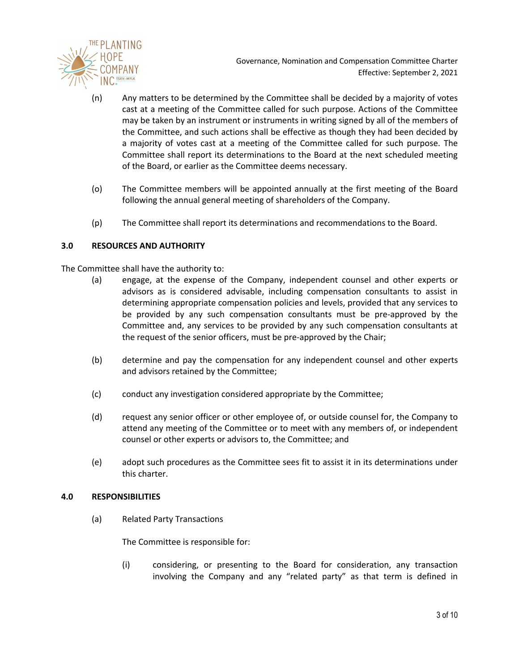

- (n) Any matters to be determined by the Committee shall be decided by a majority of votes cast at a meeting of the Committee called for such purpose. Actions of the Committee may be taken by an instrument or instruments in writing signed by all of the members of the Committee, and such actions shall be effective as though they had been decided by a majority of votes cast at a meeting of the Committee called for such purpose. The Committee shall report its determinations to the Board at the next scheduled meeting of the Board, or earlier as the Committee deems necessary.
- (o) The Committee members will be appointed annually at the first meeting of the Board following the annual general meeting of shareholders of the Company.
- (p) The Committee shall report its determinations and recommendations to the Board.

# **3.0 RESOURCES AND AUTHORITY**

The Committee shall have the authority to:

- (a) engage, at the expense of the Company, independent counsel and other experts or advisors as is considered advisable, including compensation consultants to assist in determining appropriate compensation policies and levels, provided that any services to be provided by any such compensation consultants must be pre-approved by the Committee and, any services to be provided by any such compensation consultants at the request of the senior officers, must be pre-approved by the Chair;
- (b) determine and pay the compensation for any independent counsel and other experts and advisors retained by the Committee;
- (c) conduct any investigation considered appropriate by the Committee;
- (d) request any senior officer or other employee of, or outside counsel for, the Company to attend any meeting of the Committee or to meet with any members of, or independent counsel or other experts or advisors to, the Committee; and
- (e) adopt such procedures as the Committee sees fit to assist it in its determinations under this charter.

## **4.0 RESPONSIBILITIES**

(a) Related Party Transactions

The Committee is responsible for:

(i) considering, or presenting to the Board for consideration, any transaction involving the Company and any "related party" as that term is defined in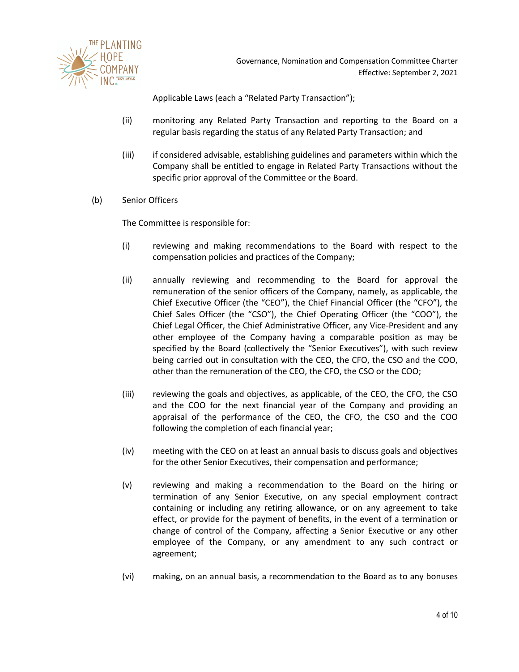

Applicable Laws (each a "Related Party Transaction");

- (ii) monitoring any Related Party Transaction and reporting to the Board on a regular basis regarding the status of any Related Party Transaction; and
- (iii) if considered advisable, establishing guidelines and parameters within which the Company shall be entitled to engage in Related Party Transactions without the specific prior approval of the Committee or the Board.
- (b) Senior Officers

The Committee is responsible for:

- (i) reviewing and making recommendations to the Board with respect to the compensation policies and practices of the Company;
- (ii) annually reviewing and recommending to the Board for approval the remuneration of the senior officers of the Company, namely, as applicable, the Chief Executive Officer (the "CEO"), the Chief Financial Officer (the "CFO"), the Chief Sales Officer (the "CSO"), the Chief Operating Officer (the "COO"), the Chief Legal Officer, the Chief Administrative Officer, any Vice-President and any other employee of the Company having a comparable position as may be specified by the Board (collectively the "Senior Executives"), with such review being carried out in consultation with the CEO, the CFO, the CSO and the COO, other than the remuneration of the CEO, the CFO, the CSO or the COO;
- (iii) reviewing the goals and objectives, as applicable, of the CEO, the CFO, the CSO and the COO for the next financial year of the Company and providing an appraisal of the performance of the CEO, the CFO, the CSO and the COO following the completion of each financial year;
- (iv) meeting with the CEO on at least an annual basis to discuss goals and objectives for the other Senior Executives, their compensation and performance;
- (v) reviewing and making a recommendation to the Board on the hiring or termination of any Senior Executive, on any special employment contract containing or including any retiring allowance, or on any agreement to take effect, or provide for the payment of benefits, in the event of a termination or change of control of the Company, affecting a Senior Executive or any other employee of the Company, or any amendment to any such contract or agreement;
- (vi) making, on an annual basis, a recommendation to the Board as to any bonuses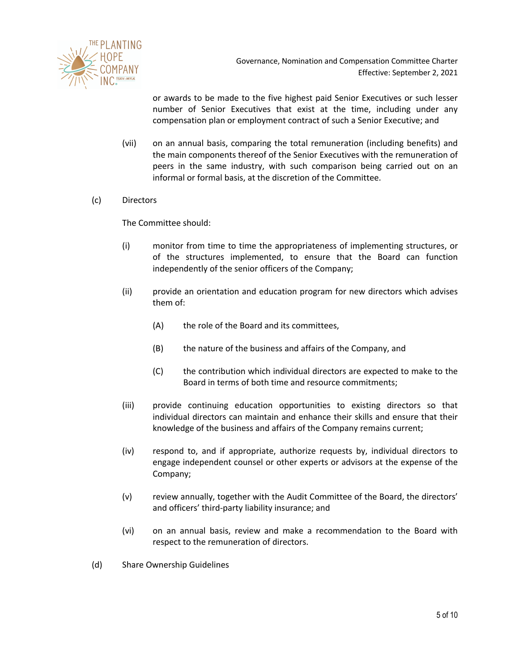

or awards to be made to the five highest paid Senior Executives or such lesser number of Senior Executives that exist at the time, including under any compensation plan or employment contract of such a Senior Executive; and

(vii) on an annual basis, comparing the total remuneration (including benefits) and the main components thereof of the Senior Executives with the remuneration of peers in the same industry, with such comparison being carried out on an informal or formal basis, at the discretion of the Committee.

### (c) Directors

The Committee should:

- (i) monitor from time to time the appropriateness of implementing structures, or of the structures implemented, to ensure that the Board can function independently of the senior officers of the Company;
- (ii) provide an orientation and education program for new directors which advises them of:
	- (A) the role of the Board and its committees,
	- (B) the nature of the business and affairs of the Company, and
	- (C) the contribution which individual directors are expected to make to the Board in terms of both time and resource commitments;
- (iii) provide continuing education opportunities to existing directors so that individual directors can maintain and enhance their skills and ensure that their knowledge of the business and affairs of the Company remains current;
- (iv) respond to, and if appropriate, authorize requests by, individual directors to engage independent counsel or other experts or advisors at the expense of the Company;
- (v) review annually, together with the Audit Committee of the Board, the directors' and officers' third-party liability insurance; and
- (vi) on an annual basis, review and make a recommendation to the Board with respect to the remuneration of directors.
- (d) Share Ownership Guidelines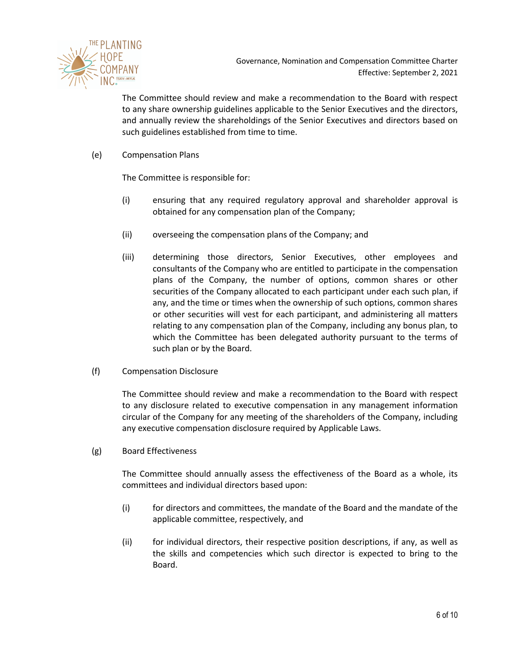

The Committee should review and make a recommendation to the Board with respect to any share ownership guidelines applicable to the Senior Executives and the directors, and annually review the shareholdings of the Senior Executives and directors based on such guidelines established from time to time.

(e) Compensation Plans

The Committee is responsible for:

- (i) ensuring that any required regulatory approval and shareholder approval is obtained for any compensation plan of the Company;
- (ii) overseeing the compensation plans of the Company; and
- (iii) determining those directors, Senior Executives, other employees and consultants of the Company who are entitled to participate in the compensation plans of the Company, the number of options, common shares or other securities of the Company allocated to each participant under each such plan, if any, and the time or times when the ownership of such options, common shares or other securities will vest for each participant, and administering all matters relating to any compensation plan of the Company, including any bonus plan, to which the Committee has been delegated authority pursuant to the terms of such plan or by the Board.
- (f) Compensation Disclosure

The Committee should review and make a recommendation to the Board with respect to any disclosure related to executive compensation in any management information circular of the Company for any meeting of the shareholders of the Company, including any executive compensation disclosure required by Applicable Laws.

(g) Board Effectiveness

The Committee should annually assess the effectiveness of the Board as a whole, its committees and individual directors based upon:

- (i) for directors and committees, the mandate of the Board and the mandate of the applicable committee, respectively, and
- (ii) for individual directors, their respective position descriptions, if any, as well as the skills and competencies which such director is expected to bring to the Board.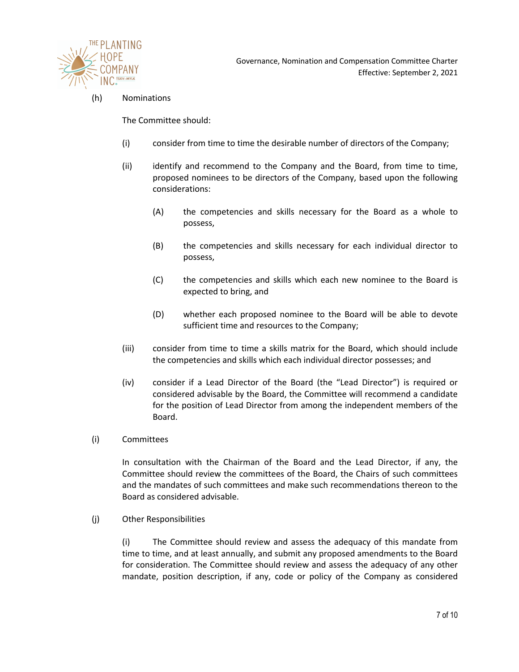

### (h) Nominations

The Committee should:

- (i) consider from time to time the desirable number of directors of the Company;
- (ii) identify and recommend to the Company and the Board, from time to time, proposed nominees to be directors of the Company, based upon the following considerations:
	- (A) the competencies and skills necessary for the Board as a whole to possess,
	- (B) the competencies and skills necessary for each individual director to possess,
	- (C) the competencies and skills which each new nominee to the Board is expected to bring, and
	- (D) whether each proposed nominee to the Board will be able to devote sufficient time and resources to the Company;
- (iii) consider from time to time a skills matrix for the Board, which should include the competencies and skills which each individual director possesses; and
- (iv) consider if a Lead Director of the Board (the "Lead Director") is required or considered advisable by the Board, the Committee will recommend a candidate for the position of Lead Director from among the independent members of the Board.
- (i) Committees

In consultation with the Chairman of the Board and the Lead Director, if any, the Committee should review the committees of the Board, the Chairs of such committees and the mandates of such committees and make such recommendations thereon to the Board as considered advisable.

(j) Other Responsibilities

(i) The Committee should review and assess the adequacy of this mandate from time to time, and at least annually, and submit any proposed amendments to the Board for consideration. The Committee should review and assess the adequacy of any other mandate, position description, if any, code or policy of the Company as considered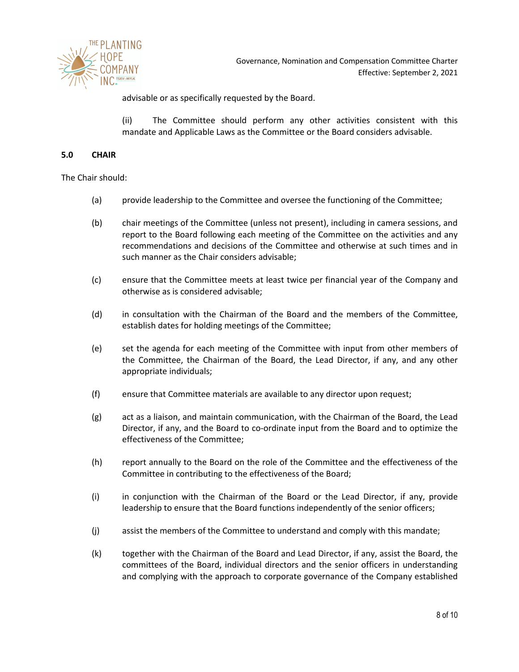

advisable or as specifically requested by the Board.

(ii) The Committee should perform any other activities consistent with this mandate and Applicable Laws as the Committee or the Board considers advisable.

#### **5.0 CHAIR**

The Chair should:

- (a) provide leadership to the Committee and oversee the functioning of the Committee;
- (b) chair meetings of the Committee (unless not present), including in camera sessions, and report to the Board following each meeting of the Committee on the activities and any recommendations and decisions of the Committee and otherwise at such times and in such manner as the Chair considers advisable;
- (c) ensure that the Committee meets at least twice per financial year of the Company and otherwise as is considered advisable;
- (d) in consultation with the Chairman of the Board and the members of the Committee, establish dates for holding meetings of the Committee;
- (e) set the agenda for each meeting of the Committee with input from other members of the Committee, the Chairman of the Board, the Lead Director, if any, and any other appropriate individuals;
- (f) ensure that Committee materials are available to any director upon request;
- (g) act as a liaison, and maintain communication, with the Chairman of the Board, the Lead Director, if any, and the Board to co-ordinate input from the Board and to optimize the effectiveness of the Committee;
- (h) report annually to the Board on the role of the Committee and the effectiveness of the Committee in contributing to the effectiveness of the Board;
- (i) in conjunction with the Chairman of the Board or the Lead Director, if any, provide leadership to ensure that the Board functions independently of the senior officers;
- (j) assist the members of the Committee to understand and comply with this mandate;
- (k) together with the Chairman of the Board and Lead Director, if any, assist the Board, the committees of the Board, individual directors and the senior officers in understanding and complying with the approach to corporate governance of the Company established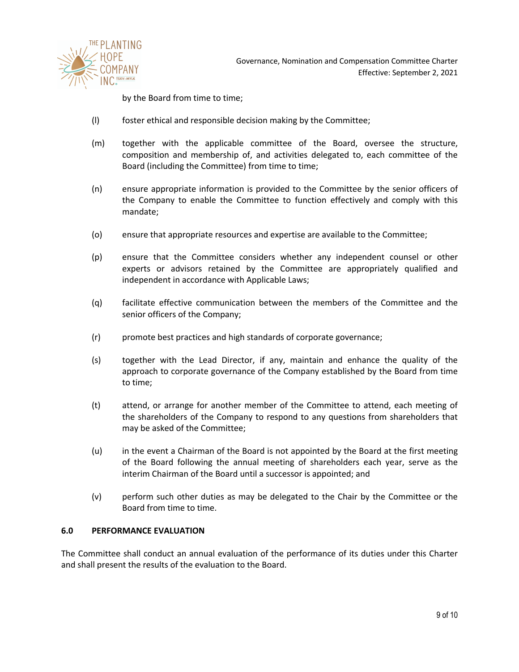

by the Board from time to time;

- (l) foster ethical and responsible decision making by the Committee;
- (m) together with the applicable committee of the Board, oversee the structure, composition and membership of, and activities delegated to, each committee of the Board (including the Committee) from time to time;
- (n) ensure appropriate information is provided to the Committee by the senior officers of the Company to enable the Committee to function effectively and comply with this mandate;
- (o) ensure that appropriate resources and expertise are available to the Committee;
- (p) ensure that the Committee considers whether any independent counsel or other experts or advisors retained by the Committee are appropriately qualified and independent in accordance with Applicable Laws;
- (q) facilitate effective communication between the members of the Committee and the senior officers of the Company;
- (r) promote best practices and high standards of corporate governance;
- (s) together with the Lead Director, if any, maintain and enhance the quality of the approach to corporate governance of the Company established by the Board from time to time;
- (t) attend, or arrange for another member of the Committee to attend, each meeting of the shareholders of the Company to respond to any questions from shareholders that may be asked of the Committee;
- (u) in the event a Chairman of the Board is not appointed by the Board at the first meeting of the Board following the annual meeting of shareholders each year, serve as the interim Chairman of the Board until a successor is appointed; and
- (v) perform such other duties as may be delegated to the Chair by the Committee or the Board from time to time.

#### **6.0 PERFORMANCE EVALUATION**

The Committee shall conduct an annual evaluation of the performance of its duties under this Charter and shall present the results of the evaluation to the Board.